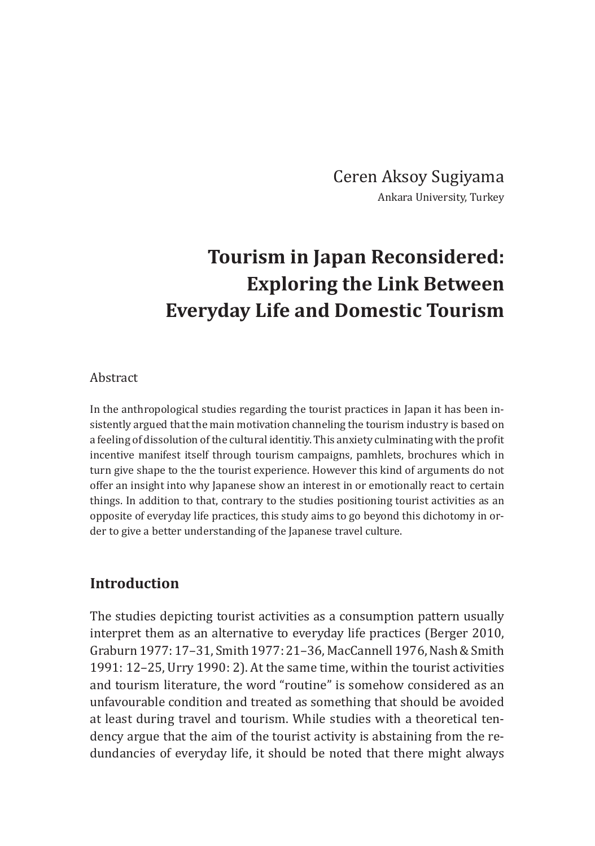Ceren Aksoy Sugiyama Ankara University, Turkey

# **Tourism in Japan Reconsidered: Exploring the Link Between Everyday Life and Domestic Tourism**

#### Abstract

In the anthropological studies regarding the tourist practices in Japan it has been insistently argued that the main motivation channeling the tourism industry is based on a feeling of dissolution of the cultural identitiy. This anxiety culminating with the profit incentive manifest itself through tourism campaigns, pamhlets, brochures which in turn give shape to the the tourist experience. However this kind of arguments do not offer an insight into why Japanese show an interest in or emotionally react to certain things. In addition to that, contrary to the studies positioning tourist activities as an opposite of everyday life practices, this study aims to go beyond this dichotomy in order to give a better understanding of the Japanese travel culture.

### **Introduction**

The studies depicting tourist activities as a consumption pattern usually interpret them as an alternative to everyday life practices (Berger 2010, Graburn 1977: 17–31, Smith 1977: 21–36, MacCannell 1976, Nash &Smith 1991: 12–25, Urry 1990: 2). At the same time, within the tourist activities and tourism literature, the word "routine" is somehow considered as an unfavourable condition and treated as something that should be avoided at least during travel and tourism. While studies with a theoretical tendency argue that the aim of the tourist activity is abstaining from the redundancies of everyday life, it should be noted that there might always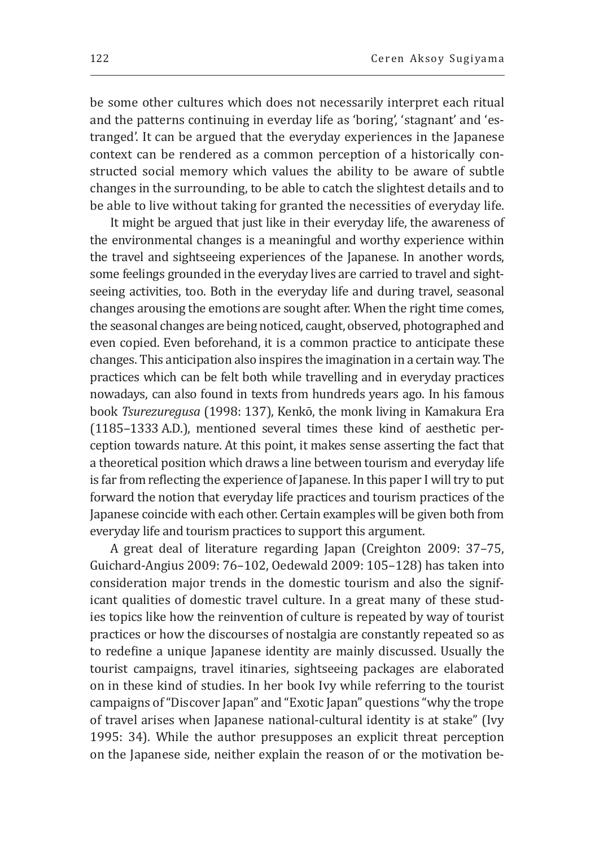be some other cultures which does not necessarily interpret each ritual and the patterns continuing in everday life as 'boring', 'stagnant' and 'estranged'. It can be argued that the everyday experiences in the Japanese context can be rendered as a common perception of a historically constructed social memory which values the ability to be aware of subtle changes in the surrounding, to be able to catch the slightest details and to be able to live without taking for granted the necessities of everyday life.

It might be argued that just like in their everyday life, the awareness of the environmental changes is a meaningful and worthy experience within the travel and sightseeing experiences of the Japanese. In another words, some feelings grounded in the everyday lives are carried to travel and sightseeing activities, too. Both in the everyday life and during travel, seasonal changes arousing the emotions are sought after. When the right time comes, the seasonal changes are being noticed, caught, observed, photographed and even copied. Even beforehand, it is a common practice to anticipate these changes. This anticipation also inspires the imagination in a certain way. The practices which can be felt both while travelling and in everyday practices nowadays, can also found in texts from hundreds years ago. In his famous book *Tsurezuregusa* (1998: 137), Kenkō, the monk living in Kamakura Era (1185–1333 A.D.), mentioned several times these kind of aesthetic perception towards nature. At this point, it makes sense asserting the fact that a theoretical position which draws a line between tourism and everyday life is far from reflecting the experience of Japanese. In this paper I will try to put forward the notion that everyday life practices and tourism practices of the Japanese coincide with each other. Certain examples will be given both from everyday life and tourism practices to support this argument.

A great deal of literature regarding Japan (Creighton 2009: 37–75, Guichard-Angius 2009: 76–102, Oedewald 2009: 105–128) has taken into consideration major trends in the domestic tourism and also the significant qualities of domestic travel culture. In a great many of these studies topics like how the reinvention of culture is repeated by way of tourist practices or how the discourses of nostalgia are constantly repeated so as to redefine a unique Japanese identity are mainly discussed. Usually the tourist campaigns, travel itinaries, sightseeing packages are elaborated on in these kind of studies. In her book Ivy while referring to the tourist campaigns of "Discover Japan" and "Exotic Japan" questions "why the trope of travel arises when Japanese national-cultural identity is at stake" (Ivy 1995: 34). While the author presupposes an explicit threat perception on the Japanese side, neither explain the reason of or the motivation be-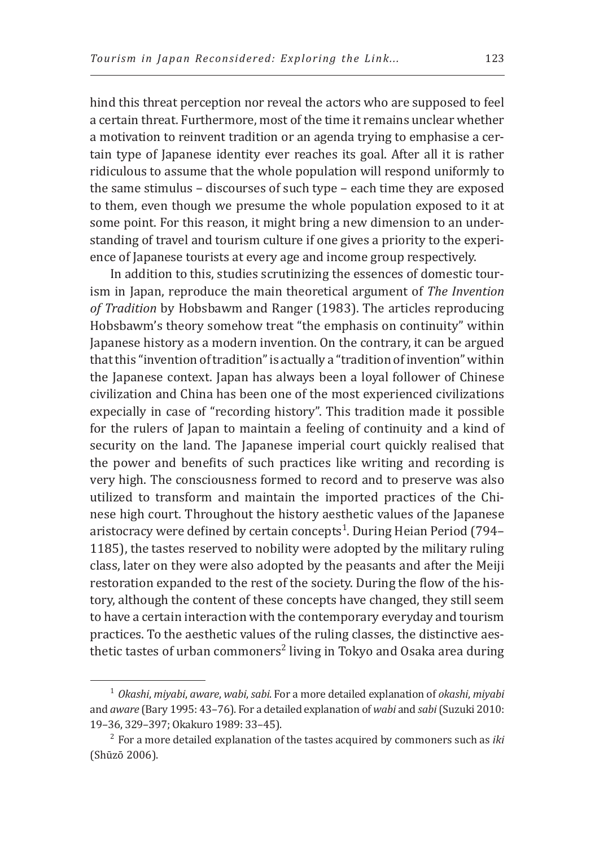hind this threat perception nor reveal the actors who are supposed to feel a certain threat. Furthermore, most of the time it remains unclear whether a motivation to reinvent tradition or an agenda trying to emphasise a certain type of Japanese identity ever reaches its goal. After all it is rather ridiculous to assume that the whole population will respond uniformly to the same stimulus – discourses of such type – each time they are exposed to them, even though we presume the whole population exposed to it at some point. For this reason, it might bring a new dimension to an understanding of travel and tourism culture if one gives a priority to the experience of Japanese tourists at every age and income group respectively.

In addition to this, studies scrutinizing the essences of domestic tourism in Japan, reproduce the main theoretical argument of *The Invention of Tradition* by Hobsbawm and Ranger (1983). The articles reproducing Hobsbawm's theory somehow treat "the emphasis on continuity" within Japanese history as a modern invention. On the contrary, it can be argued that this "invention of tradition" is actually a "tradition of invention" within the Japanese context. Japan has always been a loyal follower of Chinese civilization and China has been one of the most experienced civilizations expecially in case of "recording history". This tradition made it possible for the rulers of Japan to maintain a feeling of continuity and a kind of security on the land. The Japanese imperial court quickly realised that the power and benefits of such practices like writing and recording is very high. The consciousness formed to record and to preserve was also utilized to transform and maintain the imported practices of the Chinese high court. Throughout the history aesthetic values of the Japanese aristocracy were defined by certain concepts<sup>1</sup>. During Heian Period (794– 1185), the tastes reserved to nobility were adopted by the military ruling class, later on they were also adopted by the peasants and after the Meiji restoration expanded to the rest of the society. During the flow of the history, although the content of these concepts have changed, they still seem to have a certain interaction with the contemporary everyday and tourism practices. To the aesthetic values of the ruling classes, the distinctive aesthetic tastes of urban commoners<sup>2</sup> living in Tokyo and Osaka area during

<sup>1</sup>*Okashi*, *miyabi*, *aware*, *wabi*, *sabi*. For a more detailed explanation of *okashi*, *miyabi* and *aware* (Bary 1995: 43–76). For a detailed explanation of *wabi* and *sabi* (Suzuki 2010: 19–36, 329–397; Okakuro 1989: 33–45).

<sup>2</sup>For a more detailed explanation of the tastes acquired by commoners such as *iki* (Shūzō 2006).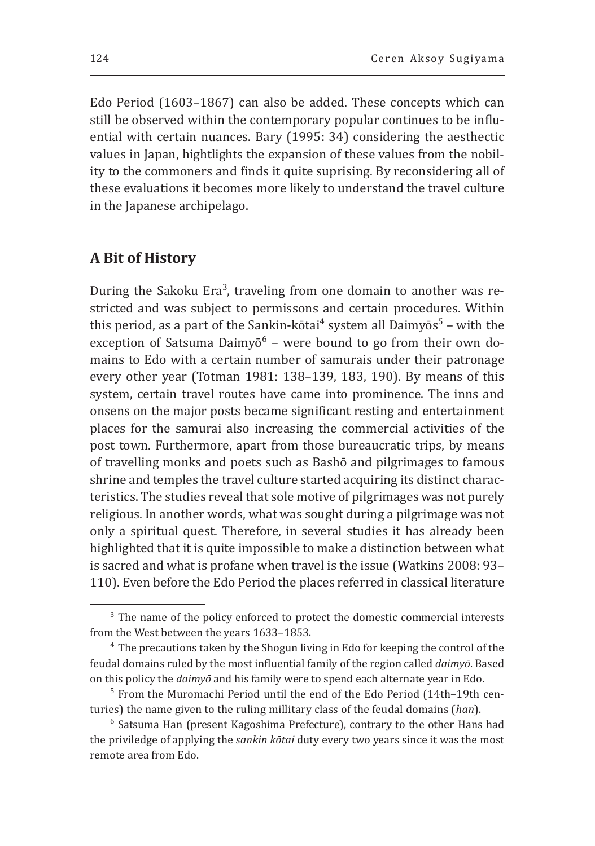Edo Period (1603–1867) can also be added. These concepts which can still be observed within the contemporary popular continues to be influential with certain nuances. Bary (1995: 34) considering the aesthectic values in Japan, hightlights the expansion of these values from the nobility to the commoners and finds it quite suprising. By reconsidering all of these evaluations it becomes more likely to understand the travel culture in the Japanese archipelago.

### **A Bit of History**

During the Sakoku Era<sup>3</sup>, traveling from one domain to another was restricted and was subject to permissons and certain procedures. Within this period, as a part of the Sankin-kōtai<sup>4</sup> system all Daimyōs<sup>5</sup> – with the exception of Satsuma Daimyō<sup>6</sup> – were bound to go from their own domains to Edo with a certain number of samurais under their patronage every other year (Totman 1981: 138–139, 183, 190). By means of this system, certain travel routes have came into prominence. The inns and onsens on the major posts became significant resting and entertainment places for the samurai also increasing the commercial activities of the post town. Furthermore, apart from those bureaucratic trips, by means of travelling monks and poets such as Bashō and pilgrimages to famous shrine and temples the travel culture started acquiring its distinct characteristics. The studies reveal that sole motive of pilgrimages was not purely religious. In another words, what was sought during a pilgrimage was not only a spiritual quest. Therefore, in several studies it has already been highlighted that it is quite impossible to make a distinction between what is sacred and what is profane when travel is the issue (Watkins 2008: 93– 110). Even before the Edo Period the places referred in classical literature

<sup>&</sup>lt;sup>3</sup> The name of the policy enforced to protect the domestic commercial interests from the West between the years 1633–1853.

<sup>&</sup>lt;sup>4</sup> The precautions taken by the Shogun living in Edo for keeping the control of the feudal domains ruled by the most influential family of the region called *daimyō*. Based on this policy the *daimyō* and his family were to spend each alternate year in Edo.

<sup>&</sup>lt;sup>5</sup> From the Muromachi Period until the end of the Edo Period (14th–19th centuries) the name given to the ruling millitary class of the feudal domains (*han*).

 $6$  Satsuma Han (present Kagoshima Prefecture), contrary to the other Hans had the priviledge of applying the *sankin kōtai* duty every two years since it was the most remote area from Edo.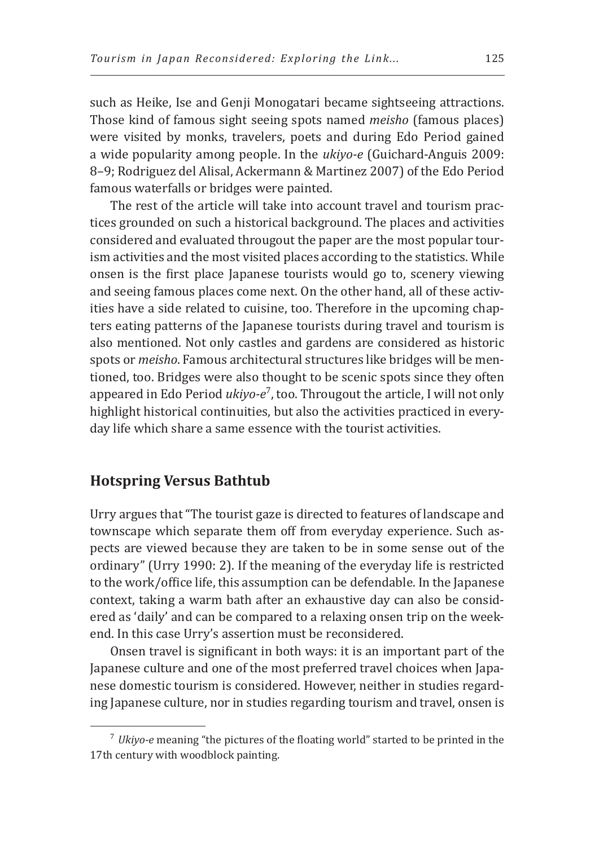such as Heike, Ise and Genji Monogatari became sightseeing attractions. Those kind of famous sight seeing spots named *meisho* (famous places) were visited by monks, travelers, poets and during Edo Period gained a wide popularity among people. In the *ukiyo-e* (Guichard-Anguis 2009: 8–9; Rodriguez del Alisal, Ackermann & Martinez 2007) of the Edo Period famous waterfalls or bridges were painted.

The rest of the article will take into account travel and tourism practices grounded on such a historical background. The places and activities considered and evaluated througout the paper are the most popular tourism activities and the most visited places according to the statistics. While onsen is the first place Japanese tourists would go to, scenery viewing and seeing famous places come next. On the other hand, all of these activities have a side related to cuisine, too. Therefore in the upcoming chapters eating patterns of the Japanese tourists during travel and tourism is also mentioned. Not only castles and gardens are considered as historic spots or *meisho*. Famous architectural structures like bridges will be mentioned, too. Bridges were also thought to be scenic spots since they often appeared in Edo Period *ukiyo-e*<sup>7</sup> , too. Througout the article, I will not only highlight historical continuities, but also the activities practiced in everyday life which share a same essence with the tourist activities.

## **Hotspring Versus Bathtub**

Urry argues that "The tourist gaze is directed to features of landscape and townscape which separate them off from everyday experience. Such aspects are viewed because they are taken to be in some sense out of the ordinary" (Urry 1990: 2). If the meaning of the everyday life is restricted to the work/office life, this assumption can be defendable. In the Japanese context, taking a warm bath after an exhaustive day can also be considered as 'daily' and can be compared to a relaxing onsen trip on the weekend. In this case Urry's assertion must be reconsidered.

Onsen travel is significant in both ways: it is an important part of the Japanese culture and one of the most preferred travel choices when Japanese domestic tourism is considered. However, neither in studies regarding Japanese culture, nor in studies regarding tourism and travel, onsen is

<sup>7</sup>*Ukiyo-e* meaning "the pictures of the floating world" started to be printed in the 17th century with woodblock painting.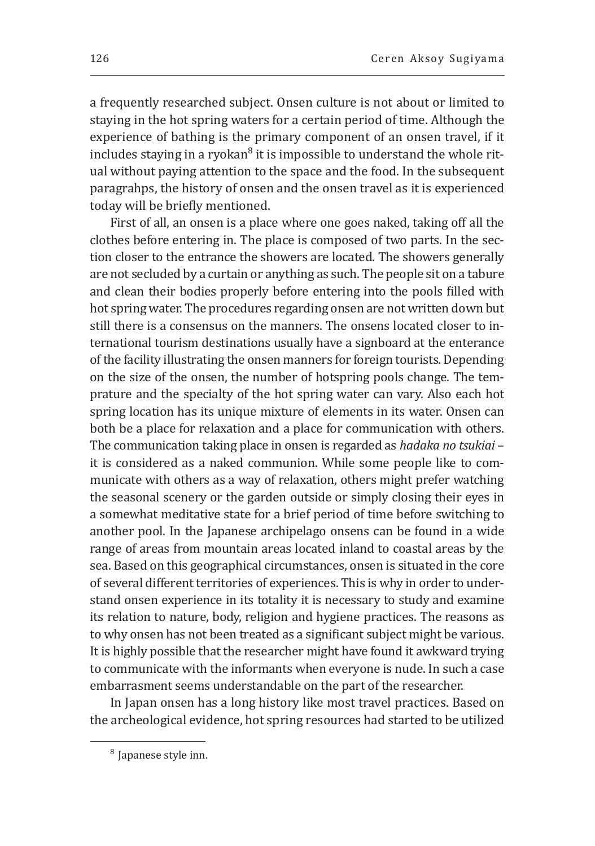a frequently researched subject. Onsen culture is not about or limited to staying in the hot spring waters for a certain period of time. Although the experience of bathing is the primary component of an onsen travel, if it includes staying in a ryokan<sup>8</sup> it is impossible to understand the whole ritual without paying attention to the space and the food. In the subsequent paragrahps, the history of onsen and the onsen travel as it is experienced today will be briefly mentioned.

First of all, an onsen is a place where one goes naked, taking off all the clothes before entering in. The place is composed of two parts. In the section closer to the entrance the showers are located. The showers generally are not secluded by a curtain or anything as such. The people sit on a tabure and clean their bodies properly before entering into the pools filled with hot spring water. The procedures regarding onsen are not written down but still there is a consensus on the manners. The onsens located closer to international tourism destinations usually have a signboard at the enterance of the facility illustrating the onsen manners for foreign tourists. Depending on the size of the onsen, the number of hotspring pools change. The temprature and the specialty of the hot spring water can vary. Also each hot spring location has its unique mixture of elements in its water. Onsen can both be a place for relaxation and a place for communication with others. The communication taking place in onsen is regarded as *hadaka no tsukiai* – it is considered as a naked communion. While some people like to communicate with others as a way of relaxation, others might prefer watching the seasonal scenery or the garden outside or simply closing their eyes in a somewhat meditative state for a brief period of time before switching to another pool. In the Japanese archipelago onsens can be found in a wide range of areas from mountain areas located inland to coastal areas by the sea. Based on this geographical circumstances, onsen is situated in the core of several different territories of experiences. This is why in order to understand onsen experience in its totality it is necessary to study and examine its relation to nature, body, religion and hygiene practices. The reasons as to why onsen has not been treated as a significant subject might be various. It is highly possible that the researcher might have found it awkward trying to communicate with the informants when everyone is nude. In such a case embarrasment seems understandable on the part of the researcher.

In Japan onsen has a long history like most travel practices. Based on the archeological evidence, hot spring resources had started to be utilized

<sup>&</sup>lt;sup>8</sup> Japanese style inn.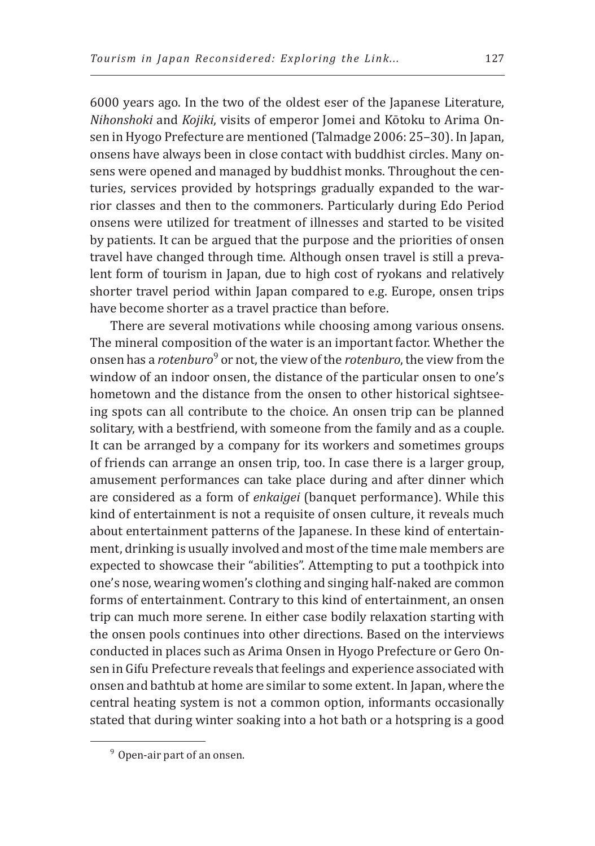6000 years ago. In the two of the oldest eser of the Japanese Literature, *Nihonshoki* and *Kojiki*, visits of emperor Jomei and Kōtoku to Arima Onsen in Hyogo Prefecture are mentioned (Talmadge 2006: 25–30). In Japan, onsens have always been in close contact with buddhist circles. Many onsens were opened and managed by buddhist monks. Throughout the centuries, services provided by hotsprings gradually expanded to the warrior classes and then to the commoners. Particularly during Edo Period onsens were utilized for treatment of illnesses and started to be visited by patients. It can be argued that the purpose and the priorities of onsen travel have changed through time. Although onsen travel is still a prevalent form of tourism in Japan, due to high cost of ryokans and relatively shorter travel period within Japan compared to e.g. Europe, onsen trips have become shorter as a travel practice than before.

There are several motivations while choosing among various onsens. The mineral composition of the water is an important factor. Whether the onsen has a *rotenburo*<sup>9</sup> or not, the view of the *rotenburo*, the view from the window of an indoor onsen, the distance of the particular onsen to one's hometown and the distance from the onsen to other historical sightseeing spots can all contribute to the choice. An onsen trip can be planned solitary, with a bestfriend, with someone from the family and as a couple. It can be arranged by a company for its workers and sometimes groups of friends can arrange an onsen trip, too. In case there is a larger group, amusement performances can take place during and after dinner which are considered as a form of *enkaigei* (banquet performance). While this kind of entertainment is not a requisite of onsen culture, it reveals much about entertainment patterns of the Japanese. In these kind of entertainment, drinking is usually involved and most of the time male members are expected to showcase their "abilities". Attempting to put a toothpick into one's nose, wearing women's clothing and singing half-naked are common forms of entertainment. Contrary to this kind of entertainment, an onsen trip can much more serene. In either case bodily relaxation starting with the onsen pools continues into other directions. Based on the interviews conducted in places such as Arima Onsen in Hyogo Prefecture or Gero Onsen in Gifu Prefecture reveals that feelings and experience associated with onsen and bathtub at home are similar to some extent. In Japan, where the central heating system is not a common option, informants occasionally stated that during winter soaking into a hot bath or a hotspring is a good

<sup>&</sup>lt;sup>9</sup> Open-air part of an onsen.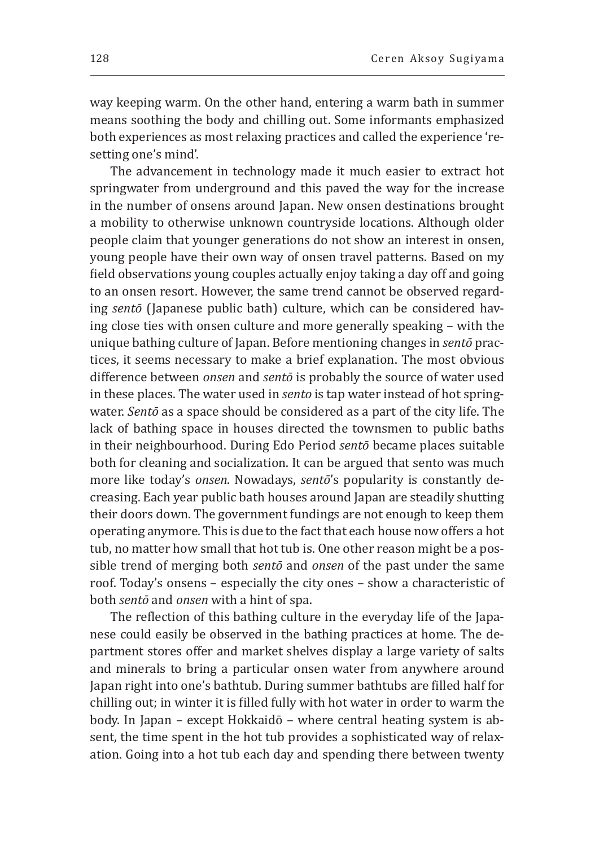way keeping warm. On the other hand, entering a warm bath in summer means soothing the body and chilling out. Some informants emphasized both experiences as most relaxing practices and called the experience 'resetting one's mind'.

The advancement in technology made it much easier to extract hot springwater from underground and this paved the way for the increase in the number of onsens around Japan. New onsen destinations brought a mobility to otherwise unknown countryside locations. Although older people claim that younger generations do not show an interest in onsen, young people have their own way of onsen travel patterns. Based on my field observations young couples actually enjoy taking a day off and going to an onsen resort. However, the same trend cannot be observed regarding *sentō* (Japanese public bath) culture, which can be considered having close ties with onsen culture and more generally speaking – with the unique bathing culture of Japan. Before mentioning changes in *sentō* practices, it seems necessary to make a brief explanation. The most obvious difference between *onsen* and *sentō* is probably the source of water used in these places. The water used in *sento* is tap water instead of hot springwater. *Sentō* as a space should be considered as a part of the city life. The lack of bathing space in houses directed the townsmen to public baths in their neighbourhood. During Edo Period *sentō* became places suitable both for cleaning and socialization. It can be argued that sento was much more like today's *onsen*. Nowadays, *sentō*'s popularity is constantly decreasing. Each year public bath houses around Japan are steadily shutting their doors down. The government fundings are not enough to keep them operating anymore. This is due to the fact that each house now offers a hot tub, no matter how small that hot tub is. One other reason might be a possible trend of merging both *sentō* and *onsen* of the past under the same roof. Today's onsens – especially the city ones – show a characteristic of both *sentō* and *onsen* with a hint of spa.

The reflection of this bathing culture in the everyday life of the Japanese could easily be observed in the bathing practices at home. The department stores offer and market shelves display a large variety of salts and minerals to bring a particular onsen water from anywhere around Japan right into one's bathtub. During summer bathtubs are filled half for chilling out; in winter it is filled fully with hot water in order to warm the body. In Japan – except Hokkaidō – where central heating system is absent, the time spent in the hot tub provides a sophisticated way of relaxation. Going into a hot tub each day and spending there between twenty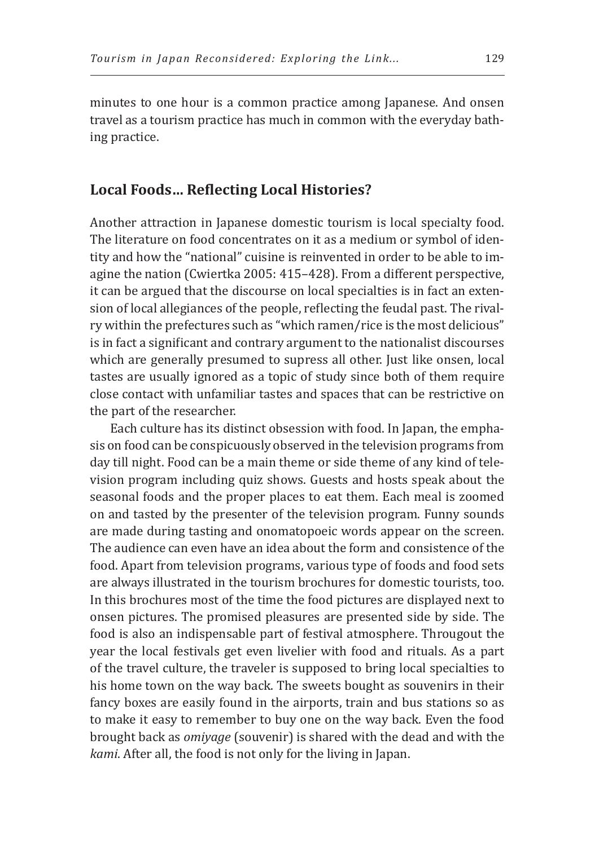minutes to one hour is a common practice among Japanese. And onsen travel as a tourism practice has much in common with the everyday bathing practice.

#### **Local Foods… Reflecting Local Histories?**

Another attraction in Japanese domestic tourism is local specialty food. The literature on food concentrates on it as a medium or symbol of identity and how the "national" cuisine is reinvented in order to be able to imagine the nation (Cwiertka 2005: 415–428). From a different perspective, it can be argued that the discourse on local specialties is in fact an extension of local allegiances of the people, reflecting the feudal past. The rivalry within the prefectures such as "which ramen/rice is the most delicious" is in fact a significant and contrary argument to the nationalist discourses which are generally presumed to supress all other. Just like onsen, local tastes are usually ignored as a topic of study since both of them require close contact with unfamiliar tastes and spaces that can be restrictive on the part of the researcher.

Each culture has its distinct obsession with food. In Japan, the emphasis on food can be conspicuously observed in the television programs from day till night. Food can be a main theme or side theme of any kind of television program including quiz shows. Guests and hosts speak about the seasonal foods and the proper places to eat them. Each meal is zoomed on and tasted by the presenter of the television program. Funny sounds are made during tasting and onomatopoeic words appear on the screen. The audience can even have an idea about the form and consistence of the food. Apart from television programs, various type of foods and food sets are always illustrated in the tourism brochures for domestic tourists, too. In this brochures most of the time the food pictures are displayed next to onsen pictures. The promised pleasures are presented side by side. The food is also an indispensable part of festival atmosphere. Througout the year the local festivals get even livelier with food and rituals. As a part of the travel culture, the traveler is supposed to bring local specialties to his home town on the way back. The sweets bought as souvenirs in their fancy boxes are easily found in the airports, train and bus stations so as to make it easy to remember to buy one on the way back. Even the food brought back as *omiyage* (souvenir) is shared with the dead and with the *kami*. After all, the food is not only for the living in Japan.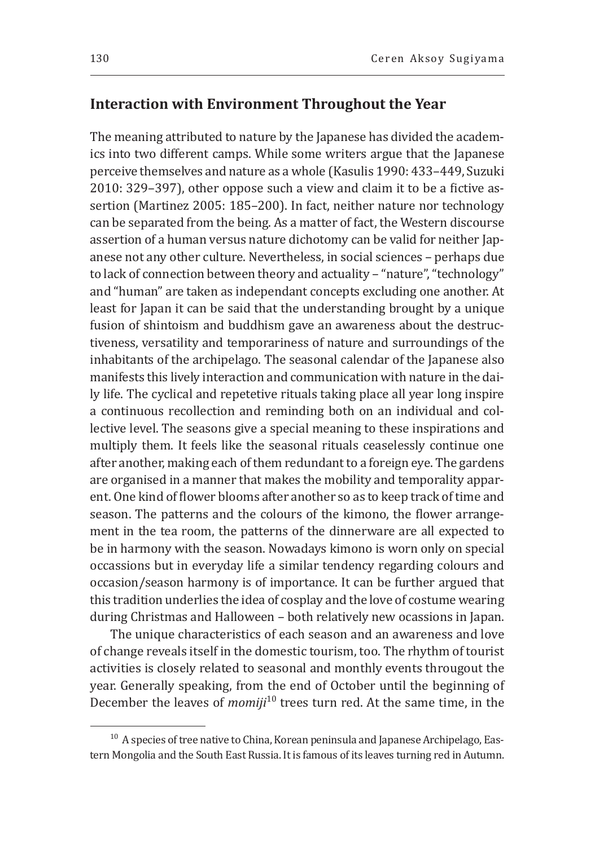## **Interaction with Environment Throughout the Year**

The meaning attributed to nature by the Japanese has divided the academics into two different camps. While some writers argue that the Japanese perceive themselves and nature as a whole (Kasulis 1990: 433–449, Suzuki 2010: 329–397), other oppose such a view and claim it to be a fictive assertion (Martinez 2005: 185–200). In fact, neither nature nor technology can be separated from the being. As a matter of fact, the Western discourse assertion of a human versus nature dichotomy can be valid for neither Japanese not any other culture. Nevertheless, in social sciences – perhaps due to lack of connection between theory and actuality – "nature", "technology" and "human" are taken as independant concepts excluding one another. At least for Japan it can be said that the understanding brought by a unique fusion of shintoism and buddhism gave an awareness about the destructiveness, versatility and temporariness of nature and surroundings of the inhabitants of the archipelago. The seasonal calendar of the Japanese also manifests this lively interaction and communication with nature in the daily life. The cyclical and repetetive rituals taking place all year long inspire a continuous recollection and reminding both on an individual and collective level. The seasons give a special meaning to these inspirations and multiply them. It feels like the seasonal rituals ceaselessly continue one after another, making each of them redundant to a foreign eye. The gardens are organised in a manner that makes the mobility and temporality apparent. One kind of flower blooms after another so as to keep track of time and season. The patterns and the colours of the kimono, the flower arrangement in the tea room, the patterns of the dinnerware are all expected to be in harmony with the season. Nowadays kimono is worn only on special occassions but in everyday life a similar tendency regarding colours and occasion/season harmony is of importance. It can be further argued that this tradition underlies the idea of cosplay and the love of costume wearing during Christmas and Halloween – both relatively new ocassions in Japan.

The unique characteristics of each season and an awareness and love of change reveals itself in the domestic tourism, too. The rhythm of tourist activities is closely related to seasonal and monthly events througout the year. Generally speaking, from the end of October until the beginning of December the leaves of *momiji*10 trees turn red. At the same time, in the

 $10$  A species of tree native to China, Korean peninsula and Japanese Archipelago, Eastern Mongolia and the South East Russia. It is famous of its leaves turning red in Autumn.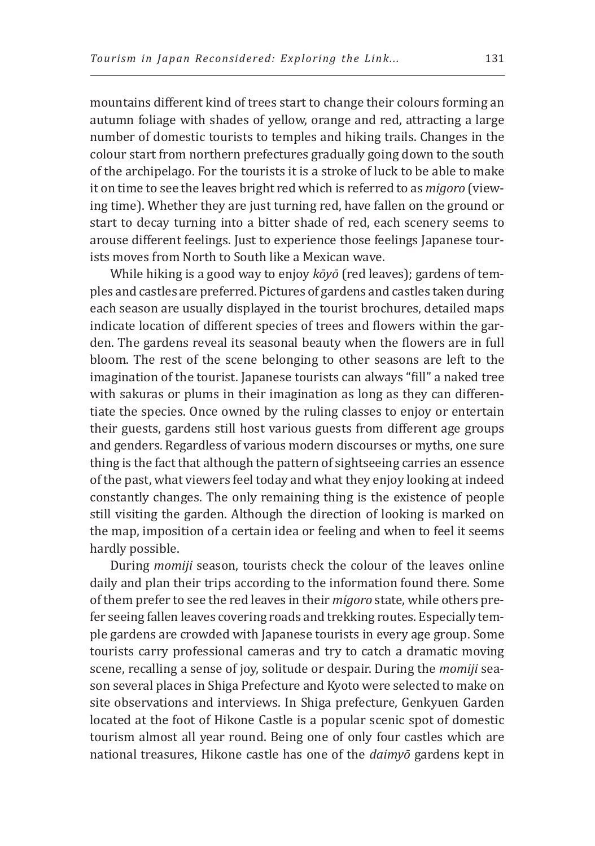mountains different kind of trees start to change their colours forming an autumn foliage with shades of yellow, orange and red, attracting a large number of domestic tourists to temples and hiking trails. Changes in the colour start from northern prefectures gradually going down to the south of the archipelago. For the tourists it is a stroke of luck to be able to make it on time to see the leaves bright red which is referred to as *migoro* (viewing time). Whether they are just turning red, have fallen on the ground or start to decay turning into a bitter shade of red, each scenery seems to arouse different feelings. Just to experience those feelings Japanese tourists moves from North to South like a Mexican wave.

While hiking is a good way to enjoy *kōyō* (red leaves); gardens of temples and castles are preferred. Pictures of gardens and castles taken during each season are usually displayed in the tourist brochures, detailed maps indicate location of different species of trees and flowers within the garden. The gardens reveal its seasonal beauty when the flowers are in full bloom. The rest of the scene belonging to other seasons are left to the imagination of the tourist. Japanese tourists can always "fill" a naked tree with sakuras or plums in their imagination as long as they can differentiate the species. Once owned by the ruling classes to enjoy or entertain their guests, gardens still host various guests from different age groups and genders. Regardless of various modern discourses or myths, one sure thing is the fact that although the pattern of sightseeing carries an essence of the past, what viewers feel today and what they enjoy looking at indeed constantly changes. The only remaining thing is the existence of people still visiting the garden. Although the direction of looking is marked on the map, imposition of a certain idea or feeling and when to feel it seems hardly possible.

During *momiji* season, tourists check the colour of the leaves online daily and plan their trips according to the information found there. Some of them prefer to see the red leaves in their *migoro* state, while others prefer seeing fallen leaves covering roads and trekking routes. Especially temple gardens are crowded with Japanese tourists in every age group. Some tourists carry professional cameras and try to catch a dramatic moving scene, recalling a sense of joy, solitude or despair. During the *momiji* season several places in Shiga Prefecture and Kyoto were selected to make on site observations and interviews. In Shiga prefecture, Genkyuen Garden located at the foot of Hikone Castle is a popular scenic spot of domestic tourism almost all year round. Being one of only four castles which are national treasures, Hikone castle has one of the *daimyō* gardens kept in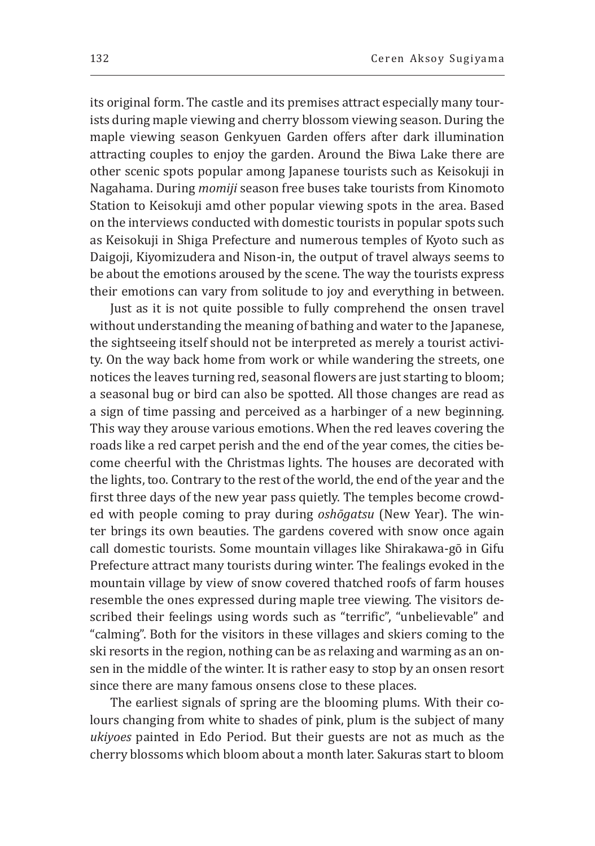its original form. The castle and its premises attract especially many tourists during maple viewing and cherry blossom viewing season. During the maple viewing season Genkyuen Garden offers after dark illumination attracting couples to enjoy the garden. Around the Biwa Lake there are other scenic spots popular among Japanese tourists such as Keisokuji in Nagahama. During *momiji* season free buses take tourists from Kinomoto Station to Keisokuji amd other popular viewing spots in the area. Based on the interviews conducted with domestic tourists in popular spots such as Keisokuji in Shiga Prefecture and numerous temples of Kyoto such as Daigoji, Kiyomizudera and Nison-in, the output of travel always seems to be about the emotions aroused by the scene. The way the tourists express their emotions can vary from solitude to joy and everything in between.

Just as it is not quite possible to fully comprehend the onsen travel without understanding the meaning of bathing and water to the Japanese, the sightseeing itself should not be interpreted as merely a tourist activity. On the way back home from work or while wandering the streets, one notices the leaves turning red, seasonal flowers are just starting to bloom; a seasonal bug or bird can also be spotted. All those changes are read as a sign of time passing and perceived as a harbinger of a new beginning. This way they arouse various emotions. When the red leaves covering the roads like a red carpet perish and the end of the year comes, the cities become cheerful with the Christmas lights. The houses are decorated with the lights, too. Contrary to the rest of the world, the end of the year and the first three days of the new year pass quietly. The temples become crowded with people coming to pray during *oshōgatsu* (New Year). The winter brings its own beauties. The gardens covered with snow once again call domestic tourists. Some mountain villages like Shirakawa-gō in Gifu Prefecture attract many tourists during winter. The fealings evoked in the mountain village by view of snow covered thatched roofs of farm houses resemble the ones expressed during maple tree viewing. The visitors described their feelings using words such as "terrific", "unbelievable" and "calming". Both for the visitors in these villages and skiers coming to the ski resorts in the region, nothing can be as relaxing and warming as an onsen in the middle of the winter. It is rather easy to stop by an onsen resort since there are many famous onsens close to these places.

The earliest signals of spring are the blooming plums. With their colours changing from white to shades of pink, plum is the subject of many *ukiyoes* painted in Edo Period. But their guests are not as much as the cherry blossoms which bloom about a month later. Sakuras start to bloom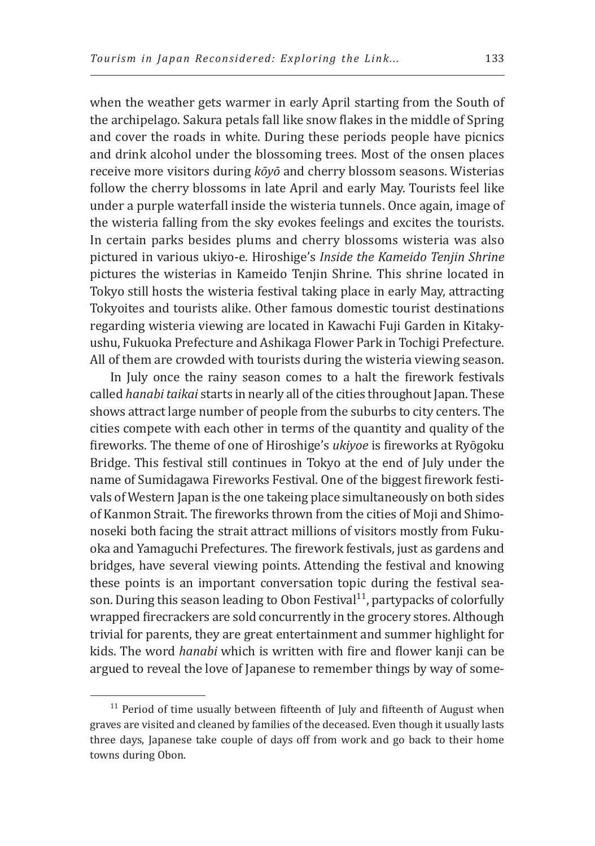when the weather gets warmer in early April starting from the South of the archipelago. Sakura petals fall like snow flakes in the middle of Spring and cover the roads in white. During these periods people have picnics and drink alcohol under the blossoming trees. Most of the onsen places receive more visitors during *kōyō* and cherry blossom seasons. Wisterias follow the cherry blossoms in late April and early May. Tourists feel like under a purple waterfall inside the wisteria tunnels. Once again, image of the wisteria falling from the sky evokes feelings and excites the tourists. In certain parks besides plums and cherry blossoms wisteria was also pictured in various ukiyo-e. Hiroshige's *Inside the Kameido Tenjin Shrine* pictures the wisterias in Kameido Tenjin Shrine. This shrine located in Tokyo still hosts the wisteria festival taking place in early May, attracting Tokyoites and tourists alike. Other famous domestic tourist destinations regarding wisteria viewing are located in Kawachi Fuji Garden in Kitakyushu, Fukuoka Prefecture and Ashikaga Flower Park in Tochigi Prefecture. All of them are crowded with tourists during the wisteria viewing season.

In July once the rainy season comes to a halt the firework festivals called *hanabi taikai* starts in nearly all of the cities throughout Japan. These shows attract large number of people from the suburbs to city centers. The cities compete with each other in terms of the quantity and quality of the fireworks. The theme of one of Hiroshige's *ukiyoe* is fireworks at Ryōgoku Bridge. This festival still continues in Tokyo at the end of July under the name of Sumidagawa Fireworks Festival. One of the biggest firework festivals of Western Japan is the one takeing place simultaneously on both sides of Kanmon Strait. The fireworks thrown from the cities of Moji and Shimonoseki both facing the strait attract millions of visitors mostly from Fukuoka and Yamaguchi Prefectures. The firework festivals, just as gardens and bridges, have several viewing points. Attending the festival and knowing these points is an important conversation topic during the festival season. During this season leading to Obon Festival<sup>11</sup>, partypacks of colorfully wrapped firecrackers are sold concurrently in the grocery stores. Although trivial for parents, they are great entertainment and summer highlight for kids. The word *hanabi* which is written with fire and flower kanji can be argued to reveal the love of Japanese to remember things by way of some-

 $11$  Period of time usually between fifteenth of July and fifteenth of August when graves are visited and cleaned by families of the deceased. Even though it usually lasts three days, Japanese take couple of days off from work and go back to their home towns during Obon.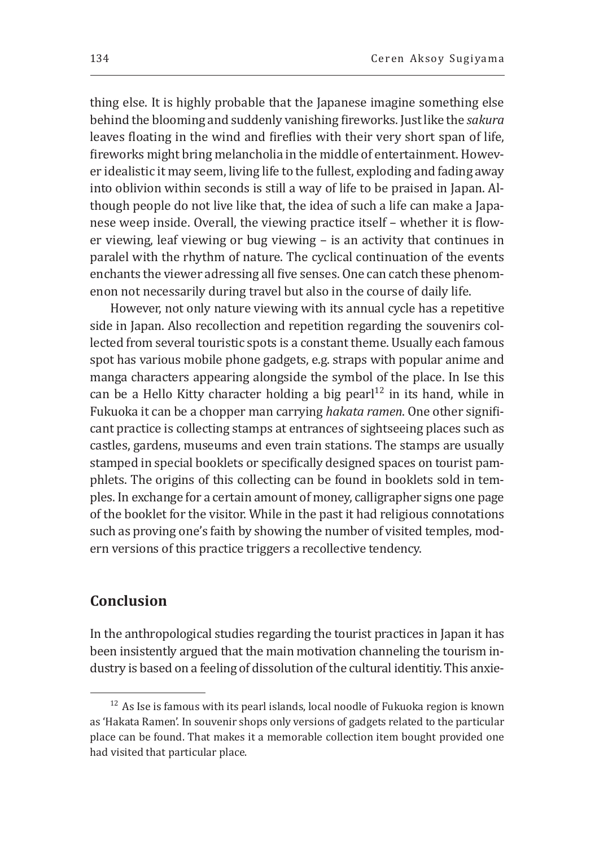thing else. It is highly probable that the Japanese imagine something else behind the blooming and suddenly vanishing fireworks. Just like the *sakura*  leaves floating in the wind and fireflies with their very short span of life, fireworks might bring melancholia in the middle of entertainment. However idealistic it may seem, living life to the fullest, exploding and fading away into oblivion within seconds is still a way of life to be praised in Japan. Although people do not live like that, the idea of such a life can make a Japanese weep inside. Overall, the viewing practice itself – whether it is flower viewing, leaf viewing or bug viewing – is an activity that continues in paralel with the rhythm of nature. The cyclical continuation of the events enchants the viewer adressing all five senses. One can catch these phenomenon not necessarily during travel but also in the course of daily life.

However, not only nature viewing with its annual cycle has a repetitive side in Japan. Also recollection and repetition regarding the souvenirs collected from several touristic spots is a constant theme. Usually each famous spot has various mobile phone gadgets, e.g. straps with popular anime and manga characters appearing alongside the symbol of the place. In Ise this can be a Hello Kitty character holding a big pearl<sup>12</sup> in its hand, while in Fukuoka it can be a chopper man carrying *hakata ramen*. One other significant practice is collecting stamps at entrances of sightseeing places such as castles, gardens, museums and even train stations. The stamps are usually stamped in special booklets or specifically designed spaces on tourist pamphlets. The origins of this collecting can be found in booklets sold in temples. In exchange for a certain amount of money, calligrapher signs one page of the booklet for the visitor. While in the past it had religious connotations such as proving one's faith by showing the number of visited temples, modern versions of this practice triggers a recollective tendency.

## **Conclusion**

In the anthropological studies regarding the tourist practices in Japan it has been insistently argued that the main motivation channeling the tourism industry is based on a feeling of dissolution of the cultural identitiy. This anxie-

 $12$  As Ise is famous with its pearl islands, local noodle of Fukuoka region is known as 'Hakata Ramen'. In souvenir shops only versions of gadgets related to the particular place can be found. That makes it a memorable collection item bought provided one had visited that particular place.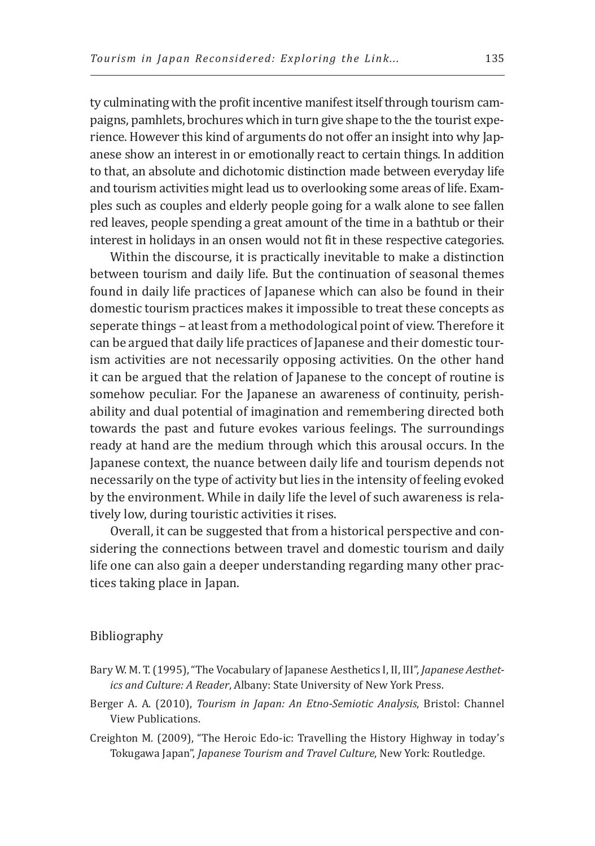ty culminating with the profit incentive manifest itself through tourism campaigns, pamhlets, brochures which in turn give shape to the the tourist experience. However this kind of arguments do not offer an insight into why Japanese show an interest in or emotionally react to certain things. In addition to that, an absolute and dichotomic distinction made between everyday life and tourism activities might lead us to overlooking some areas of life. Examples such as couples and elderly people going for a walk alone to see fallen red leaves, people spending a great amount of the time in a bathtub or their interest in holidays in an onsen would not fit in these respective categories.

Within the discourse, it is practically inevitable to make a distinction between tourism and daily life. But the continuation of seasonal themes found in daily life practices of Japanese which can also be found in their domestic tourism practices makes it impossible to treat these concepts as seperate things – at least from a methodological point of view. Therefore it can be argued that daily life practices of Japanese and their domestic tourism activities are not necessarily opposing activities. On the other hand it can be argued that the relation of Japanese to the concept of routine is somehow peculiar. For the Japanese an awareness of continuity, perishability and dual potential of imagination and remembering directed both towards the past and future evokes various feelings. The surroundings ready at hand are the medium through which this arousal occurs. In the Japanese context, the nuance between daily life and tourism depends not necessarily on the type of activity but lies in the intensity of feeling evoked by the environment. While in daily life the level of such awareness is relatively low, during touristic activities it rises.

Overall, it can be suggested that from a historical perspective and considering the connections between travel and domestic tourism and daily life one can also gain a deeper understanding regarding many other practices taking place in Japan.

#### Bibliography

- Bary W. M. T. (1995), "The Vocabulary of Japanese Aesthetics I, II, III", *Japanese Aesthetics and Culture: A Reader*, Albany: State University of New York Press.
- Berger A. A. (2010), *Tourism in Japan: An Etno-Semiotic Analysis*, Bristol: Channel View Publications.
- Creighton M. (2009), "The Heroic Edo-ic: Travelling the History Highway in today's Tokugawa Japan", *Japanese Tourism and Travel Culture*, New York: Routledge.